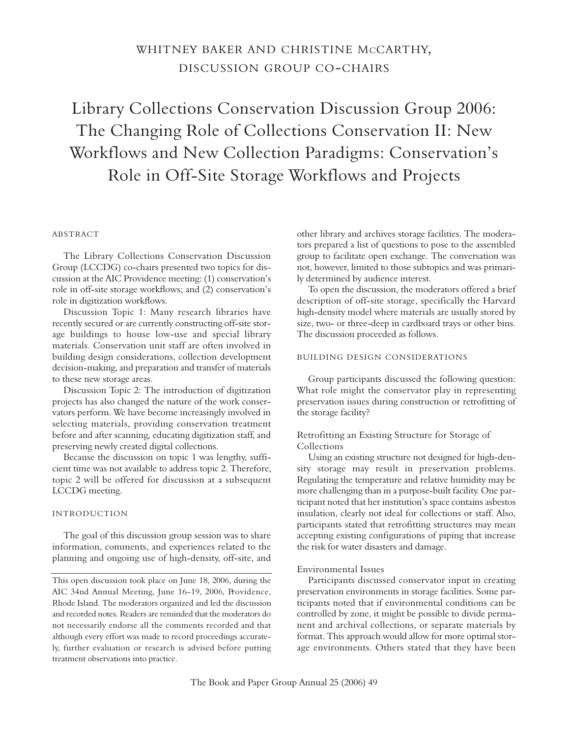# WHITNEY BAKER AND CHRISTINE MCCARTHY, DISCUSSION GROUP CO-CHAIRS

Library Collections Conservation Discussion Group 2006: The Changing Role of Collections Conservation II: New Workflows and New Collection Paradigms: Conservation's Role in Off-Site Storage Workflows and Projects

## **ABSTRACT**

The Library Collections Conservation Discussion Group (LCCDG) co-chairs presented two topics for discussion at the AIC Providence meeting: (1) conservation's role in off-site storage workflows; and (2) conservation's role in digitization workflows.

Discussion Topic 1: Many research libraries have recently secured or are currently constructing off-site storage buildings to house low-use and special library materials. Conservation unit staff are often involved in building design considerations, collection development decision-making, and preparation and transfer of materials to these new storage areas.

Discussion Topic 2: The introduction of digitization projects has also changed the nature of the work conservators perform. We have become increasingly involved in selecting materials, providing conservation treatment before and after scanning, educating digitization staff, and preserving newly created digital collections.

Because the discussion on topic 1 was lengthy, sufficient time was not available to address topic 2. Therefore, topic 2 will be offered for discussion at a subsequent LCCDG meeting.

## IN TRODUCTION

The goal of this discussion group session was to share information, comments, and experiences related to the planning and ongoing use of high-density, off-site, and other library and archives storage facilities. The moderators prepared a list of questions to pose to the assembled group to facilitate open exchange. The conversation was not, however, limited to those subtopics and was primarily determined by audience interest.

To open the discussion, the moderators offered a brief description of off-site storage, specifically the Harvard high-density model where materials are usually stored by size, two- or three-deep in cardboard trays or other bins. The discussion proceeded as follows.

## BUILDING DESIGN CONSIDERATIONS

Group participants discussed the following question: What role might the conservator play in representing preservation issues during construction or retrofitting of the storage facility?

## Retrofitting an Existing Structure for Storage of Collections

Using an existing structure not designed for high-density storage may result in preservation problems. Regulating the temperature and relative humidity may be more challenging than in a purpose-built facility. One participant noted that her institution's space contains asbestos insulation, clearly not ideal for collections or staff. Also, participants stated that retrofitting structures may mean accepting existing configurations of piping that increase the risk for water disasters and damage.

## Environmental Issues

Participants discussed conservator input in creating preservation environments in storage facilities. Some participants noted that if environmental conditions can be controlled by zone, it might be possible to divide permanent and archival collections, or separate materials by format. This approach would allow for more optimal storage environments. Others stated that they have been

This open discussion took place on June 18, 2006, during the AIC 34nd Annual Meeting, June 16-19, 2006, Providence, Rhode Island. The moderators organized and led the discussion and recorded notes. Readers are reminded that the moderators do not necessarily endorse all the comments recorded and that although every effort was made to record proceedings accurately, further evaluation or research is advised before putting treatment observations into practice.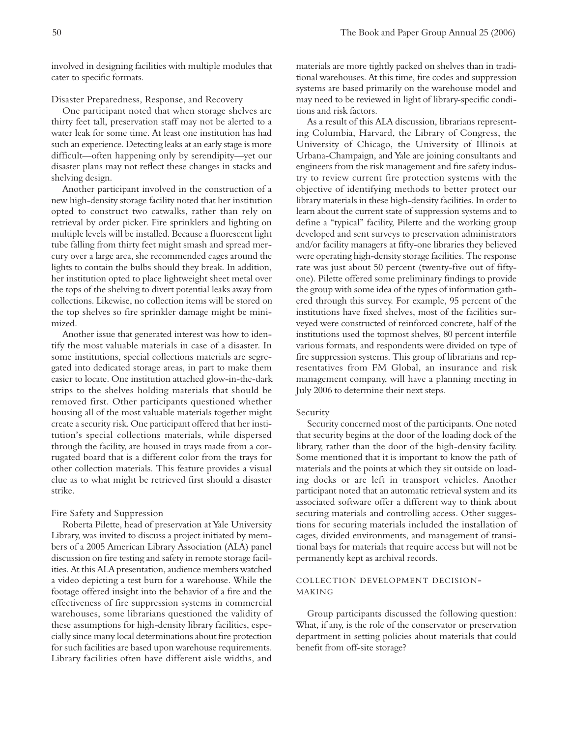involved in designing facilities with multiple modules that cater to specific formats.

### Disaster Preparedness, Response, and Recovery

One participant noted that when storage shelves are thirty feet tall, preservation staff may not be alerted to a water leak for some time. At least one institution has had such an experience. Detecting leaks at an early stage is more difficult—often happening only by serendipity—yet our disaster plans may not reflect these changes in stacks and shelving design.

Another participant involved in the construction of a new high-density storage facility noted that her institution opted to construct two catwalks, rather than rely on retrieval by order picker. Fire sprinklers and lighting on multiple levels will be installed. Because a fluorescent light tube falling from thirty feet might smash and spread mercury over a large area, she recommended cages around the lights to contain the bulbs should they break. In addition, her institution opted to place lightweight sheet metal over the tops of the shelving to divert potential leaks away from collections. Likewise, no collection items will be stored on the top shelves so fire sprinkler damage might be minimized.

Another issue that generated interest was how to identify the most valuable materials in case of a disaster. In some institutions, special collections materials are segregated into dedicated storage areas, in part to make them easier to locate. One institution attached glow-in-the-dark strips to the shelves holding materials that should be removed first. Other participants questioned whether housing all of the most valuable materials together might create a security risk. One participant offered that her institution's special collections materials, while dispersed through the facility, are housed in trays made from a corrugated board that is a different color from the trays for other collection materials. This feature provides a visual clue as to what might be retrieved first should a disaster strike.

## Fire Safety and Suppression

Roberta Pilette, head of preservation at Yale University Library, was invited to discuss a project initiated by members of a 2005 American Library Association (ALA) panel discussion on fire testing and safety in remote storage facilities. At this ALA presentation, audience members watched a video depicting a test burn for a warehouse. While the footage offered insight into the behavior of a fire and the effectiveness of fire suppression systems in commercial warehouses, some librarians questioned the validity of these assumptions for high-density library facilities, especially since many local determinations about fire protection for such facilities are based upon warehouse requirements. Library facilities often have different aisle widths, and materials are more tightly packed on shelves than in traditional warehouses. At this time, fire codes and suppression systems are based primarily on the warehouse model and may need to be reviewed in light of library-specific conditions and risk factors.

As a result of this ALA discussion, librarians representing Columbia, Harvard, the Library of Congress, the University of Chicago, the University of Illinois at Urbana-Champaign, and Yale are joining consultants and engineers from the risk management and fire safety industry to review current fire protection systems with the objective of identifying methods to better protect our library materials in these high-density facilities. In order to learn about the current state of suppression systems and to define a "typical" facility, Pilette and the working group developed and sent surveys to preservation administrators and/or facility managers at fifty-one libraries they believed were operating high-density storage facilities. The response rate was just about 50 percent (twenty-five out of fiftyone). Pilette offered some preliminary findings to provide the group with some idea of the types of information gathered through this survey. For example, 95 percent of the institutions have fixed shelves, most of the facilities surveyed were constructed of reinforced concrete, half of the institutions used the topmost shelves, 80 percent interfile various formats, and respondents were divided on type of fire suppression systems. This group of librarians and representatives from FM Global, an insurance and risk management company, will have a planning meeting in July 2006 to determine their next steps.

#### Security

Security concerned most of the participants. One noted that security begins at the door of the loading dock of the library, rather than the door of the high-density facility. Some mentioned that it is important to know the path of materials and the points at which they sit outside on loading docks or are left in transport vehicles. Another participant noted that an automatic retrieval system and its associated software offer a different way to think about securing materials and controlling access. Other suggestions for securing materials included the installation of cages, divided environments, and management of transitional bays for materials that require access but will not be permanently kept as archival records.

## COLLECTION DEVELOPMENT DECISION-**MAKING**

Group participants discussed the following question: What, if any, is the role of the conservator or preservation department in setting policies about materials that could benefit from off-site storage?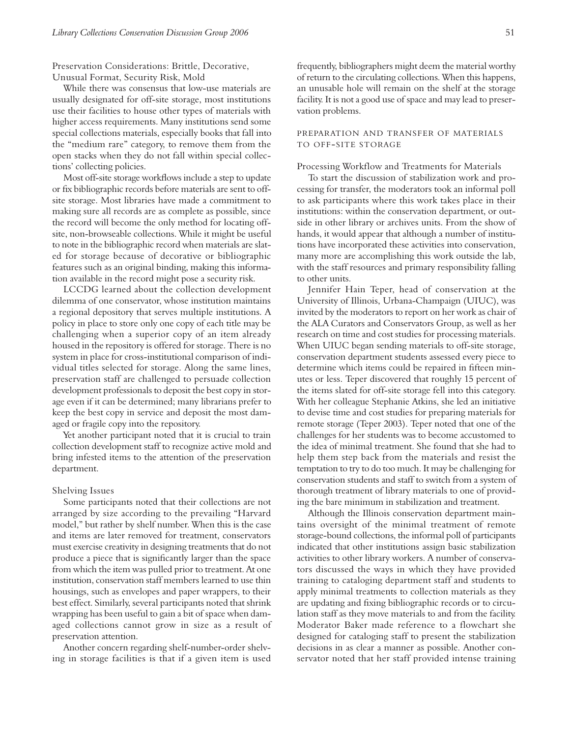Preservation Considerations: Brittle, Decorative, Unusual Format, Security Risk, Mold

While there was consensus that low-use materials are usually designated for off-site storage, most institutions use their facilities to house other types of materials with higher access requirements. Many institutions send some special collections materials, especially books that fall into the "medium rare" category, to remove them from the open stacks when they do not fall within special collections' collecting policies.

Most off-site storage workflows include a step to update or fix bibliographic records before materials are sent to offsite storage. Most libraries have made a commitment to making sure all records are as complete as possible, since the record will become the only method for locating offsite, non-browseable collections. While it might be useful to note in the bibliographic record when materials are slated for storage because of decorative or bibliographic features such as an original binding, making this information available in the record might pose a security risk.

LCCDG learned about the collection development dilemma of one conservator, whose institution maintains a regional depository that serves multiple institutions. A policy in place to store only one copy of each title may be challenging when a superior copy of an item already housed in the repository is offered for storage. There is no system in place for cross-institutional comparison of individual titles selected for storage. Along the same lines, preservation staff are challenged to persuade collection development professionals to deposit the best copy in storage even if it can be determined; many librarians prefer to keep the best copy in service and deposit the most damaged or fragile copy into the repository.

Yet another participant noted that it is crucial to train collection development staff to recognize active mold and bring infested items to the attention of the preservation department.

#### Shelving Issues

Some participants noted that their collections are not arranged by size according to the prevailing "Harvard model," but rather by shelf number. When this is the case and items are later removed for treatment, conservators must exercise creativity in designing treatments that do not produce a piece that is significantly larger than the space from which the item was pulled prior to treatment. At one institution, conservation staff members learned to use thin housings, such as envelopes and paper wrappers, to their best effect. Similarly, several participants noted that shrink wrapping has been useful to gain a bit of space when damaged collections cannot grow in size as a result of preservation attention.

Another concern regarding shelf-number-order shelving in storage facilities is that if a given item is used frequently, bibliographers might deem the material worthy of return to the circulating collections. When this happens, an unusable hole will remain on the shelf at the storage facility. It is not a good use of space and may lead to preservation problems.

## PREPARATION AND TRANSFER OF MATERIALS TO OFF-SITE STORAGE

#### Processing Workflow and Treatments for Materials

To start the discussion of stabilization work and processing for transfer, the moderators took an informal poll to ask participants where this work takes place in their institutions: within the conservation department, or outside in other library or archives units. From the show of hands, it would appear that although a number of institutions have incorporated these activities into conservation, many more are accomplishing this work outside the lab, with the staff resources and primary responsibility falling to other units.

Jennifer Hain Teper, head of conservation at the University of Illinois, Urbana-Champaign (UIUC), was invited by the moderators to report on her work as chair of the ALA Curators and Conservators Group, as well as her research on time and cost studies for processing materials. When UIUC began sending materials to off-site storage, conservation department students assessed every piece to determine which items could be repaired in fifteen minutes or less. Teper discovered that roughly 15 percent of the items slated for off-site storage fell into this category. With her colleague Stephanie Atkins, she led an initiative to devise time and cost studies for preparing materials for remote storage (Teper 2003). Teper noted that one of the challenges for her students was to become accustomed to the idea of minimal treatment. She found that she had to help them step back from the materials and resist the temptation to try to do too much. It may be challenging for conservation students and staff to switch from a system of thorough treatment of library materials to one of providing the bare minimum in stabilization and treatment.

Although the Illinois conservation department maintains oversight of the minimal treatment of remote storage-bound collections, the informal poll of participants indicated that other institutions assign basic stabilization activities to other library workers. A number of conservators discussed the ways in which they have provided training to cataloging department staff and students to apply minimal treatments to collection materials as they are updating and fixing bibliographic records or to circulation staff as they move materials to and from the facility. Moderator Baker made reference to a flowchart she designed for cataloging staff to present the stabilization decisions in as clear a manner as possible. Another conservator noted that her staff provided intense training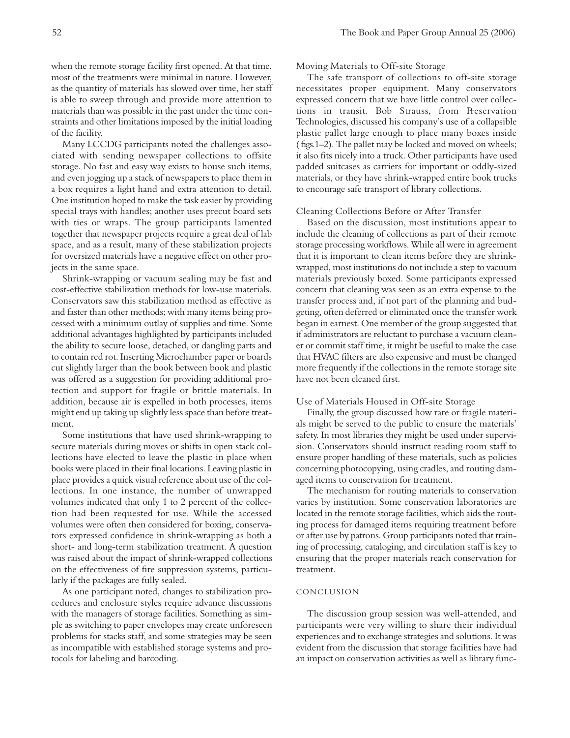when the remote storage facility first opened. At that time, most of the treatments were minimal in nature. However, as the quantity of materials has slowed over time, her staff is able to sweep through and provide more attention to materials than was possible in the past under the time constraints and other limitations imposed by the initial loading of the facility.

Many LCCDG participants noted the challenges associated with sending newspaper collections to offsite storage. No fast and easy way exists to house such items, and even jogging up a stack of newspapers to place them in a box requires a light hand and extra attention to detail. One institution hoped to make the task easier by providing special trays with handles; another uses precut board sets with ties or wraps. The group participants lamented together that newspaper projects require a great deal of lab space, and as a result, many of these stabilization projects for oversized materials have a negative effect on other projects in the same space.

Shrink-wrapping or vacuum sealing may be fast and cost-effective stabilization methods for low-use materials. Conservators saw this stabilization method as effective as and faster than other methods; with many items being processed with a minimum outlay of supplies and time. Some additional advantages highlighted by participants included the ability to secure loose, detached, or dangling parts and to contain red rot. Inserting Microchamber paper or boards cut slightly larger than the book between book and plastic was offered as a suggestion for providing additional protection and support for fragile or brittle materials. In addition, because air is expelled in both processes, items might end up taking up slightly less space than before treatment.

Some institutions that have used shrink-wrapping to secure materials during moves or shifts in open stack collections have elected to leave the plastic in place when books were placed in their final locations. Leaving plastic in place provides a quick visual reference about use of the collections. In one instance, the number of unwrapped volumes indicated that only 1 to 2 percent of the collection had been requested for use. While the accessed volumes were often then considered for boxing, conservators expressed confidence in shrink-wrapping as both a short- and long-term stabilization treatment. A question was raised about the impact of shrink-wrapped collections on the effectiveness of fire suppression systems, particularly if the packages are fully sealed.

As one participant noted, changes to stabilization procedures and enclosure styles require advance discussions with the managers of storage facilities. Something as simple as switching to paper envelopes may create unforeseen problems for stacks staff, and some strategies may be seen as incompatible with established storage systems and protocols for labeling and barcoding.

#### Moving Materials to Off-site Storage

The safe transport of collections to off-site storage necessitates proper equipment. Many conservators expressed concern that we have little control over collections in transit. Bob Strauss, from Preservation Technologies, discussed his company's use of a collapsible plastic pallet large enough to place many boxes inside ( figs.1–2). The pallet may be locked and moved on wheels; it also fits nicely into a truck. Other participants have used padded suitcases as carriers for important or oddly-sized materials, or they have shrink-wrapped entire book trucks to encourage safe transport of library collections.

#### Cleaning Collections Before or After Transfer

Based on the discussion, most institutions appear to include the cleaning of collections as part of their remote storage processing workflows. While all were in agreement that it is important to clean items before they are shrinkwrapped, most institutions do not include a step to vacuum materials previously boxed. Some participants expressed concern that cleaning was seen as an extra expense to the transfer process and, if not part of the planning and budgeting, often deferred or eliminated once the transfer work began in earnest. One member of the group suggested that if administrators are reluctant to purchase a vacuum cleaner or commit staff time, it might be useful to make the case that HVAC filters are also expensive and must be changed more frequently if the collections in the remote storage site have not been cleaned first.

#### Use of Materials Housed in Off-site Storage

Finally, the group discussed how rare or fragile materials might be served to the public to ensure the materials' safety. In most libraries they might be used under supervision. Conservators should instruct reading room staff to ensure proper handling of these materials, such as policies concerning photocopying, using cradles, and routing damaged items to conservation for treatment.

The mechanism for routing materials to conservation varies by institution. Some conservation laboratories are located in the remote storage facilities, which aids the routing process for damaged items requiring treatment before or after use by patrons. Group participants noted that training of processing, cataloging, and circulation staff is key to ensuring that the proper materials reach conservation for treatment.

#### **CONCLUSION**

The discussion group session was well-attended, and participants were very willing to share their individual experiences and to exchange strategies and solutions. It was evident from the discussion that storage facilities have had an impact on conservation activities as well as library func-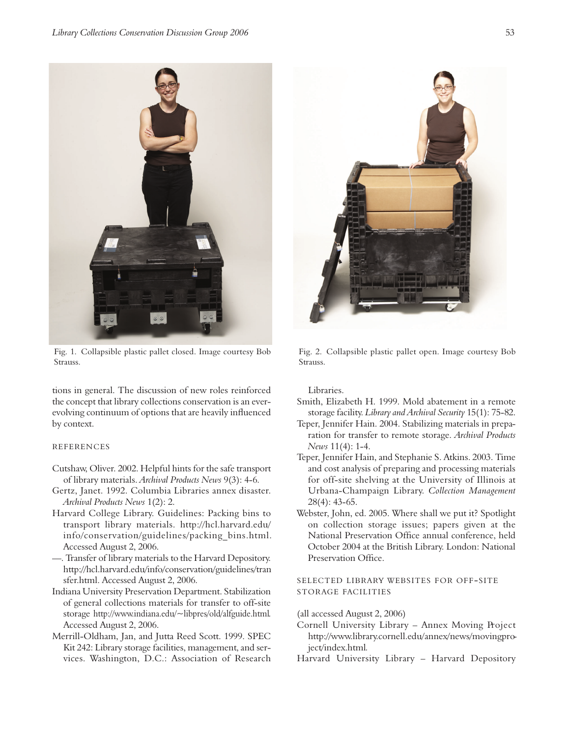

Fig. 1. Collapsible plastic pallet closed. Image courtesy Bob Strauss.

tions in general. The discussion of new roles reinforced the concept that library collections conservation is an everevolving continuum of options that are heavily influenced by context.

# REFERENCES

- Cutshaw, Oliver. 2002. Helpful hints for the safe transport of library materials. *Archival Products News* 9(3): 4-6.
- Gertz, Janet. 1992. Columbia Libraries annex disaster. *Archival Products News* 1(2): 2.
- Harvard College Library. Guidelines: Packing bins to transport library materials. http://hcl.harvard.edu/ info/conservation/guidelines/packing bins.html. Accessed August 2, 2006.

—. Transfer of library materials to the Harvard Depository. http://hcl.harvard.edu/info/conservation/guidelines/tran sfer.html. Accessed August 2, 2006.

- Indiana University Preservation Department. Stabilization of general collections materials for transfer to off-site storage http://www.indiana.edu/~libpres/old/alfguide.html. Accessed August 2, 2006.
- Merrill-Oldham, Jan, and Jutta Reed Scott. 1999. SPEC Kit 242: Library storage facilities, management, and services. Washington, D.C.: Association of Research



Fig. 2. Collapsible plastic pallet open. Image courtesy Bob Strauss.

Libraries.

- Smith, Elizabeth H. 1999. Mold abatement in a remote storage facility. *Library and Archival Security* 15(1): 75-82.
- Teper, Jennifer Hain. 2004. Stabilizing materials in preparation for transfer to remote storage. Archival Products *News* 11(4): 1-4.
- Teper, Jennifer Hain, and Stephanie S. Atkins. 2003. Time and cost analysis of preparing and processing materials for off-site shelving at the University of Illinois at Urbana-Champaign Library. *Collection Management* 28(4): 43-65.
- Webster, John, ed. 2005. Where shall we put it? Spotlight on collection storage issues; papers given at the National Preservation Office annual conference, held October 2004 at the British Library. London: National Preservation Office.

SELECTED LIBRARY WEBSITES FOR OFF-SITE STORAGE FACILITIES

(all accessed August 2, 2006)

- Cornell University Library Annex Moving Project http://www.library.cornell.edu/annex/news/movingproject/index.html*.*
- Harvard University Library Harvard Depository